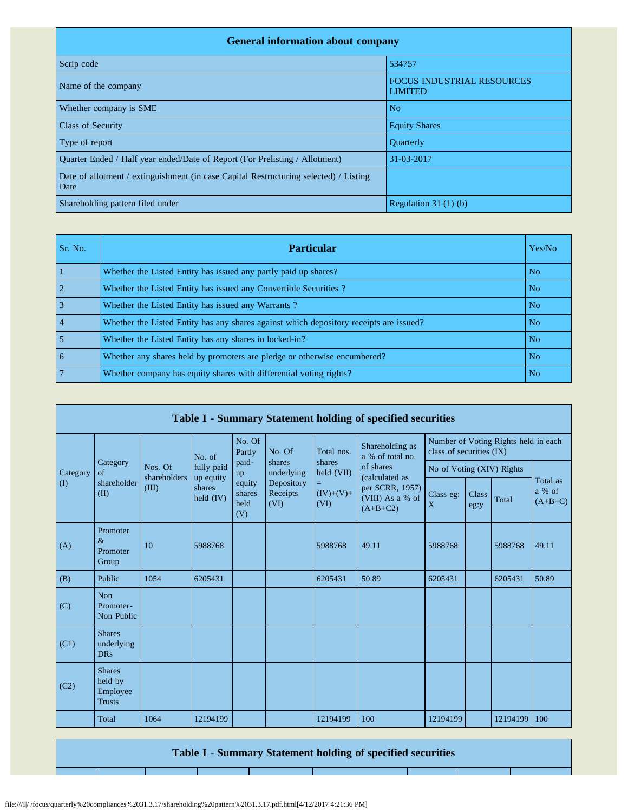| <b>General information about company</b>                                                      |                                                     |  |  |  |  |  |  |  |  |
|-----------------------------------------------------------------------------------------------|-----------------------------------------------------|--|--|--|--|--|--|--|--|
| Scrip code                                                                                    | 534757                                              |  |  |  |  |  |  |  |  |
| Name of the company                                                                           | <b>FOCUS INDUSTRIAL RESOURCES</b><br><b>LIMITED</b> |  |  |  |  |  |  |  |  |
| Whether company is SME                                                                        | N <sub>o</sub>                                      |  |  |  |  |  |  |  |  |
| <b>Class of Security</b>                                                                      | <b>Equity Shares</b>                                |  |  |  |  |  |  |  |  |
| Type of report                                                                                | <b>Ouarterly</b>                                    |  |  |  |  |  |  |  |  |
| Ouarter Ended / Half year ended/Date of Report (For Prelisting / Allotment)                   | 31-03-2017                                          |  |  |  |  |  |  |  |  |
| Date of allotment / extinguishment (in case Capital Restructuring selected) / Listing<br>Date |                                                     |  |  |  |  |  |  |  |  |
| Shareholding pattern filed under                                                              | Regulation $31(1)(b)$                               |  |  |  |  |  |  |  |  |

| Sr. No.        | <b>Particular</b>                                                                      | Yes/No         |
|----------------|----------------------------------------------------------------------------------------|----------------|
|                | Whether the Listed Entity has issued any partly paid up shares?                        | N <sub>o</sub> |
| $\overline{2}$ | Whether the Listed Entity has issued any Convertible Securities?                       | N <sub>o</sub> |
| $\overline{3}$ | Whether the Listed Entity has issued any Warrants?                                     | N <sub>o</sub> |
| $\vert$ 4      | Whether the Listed Entity has any shares against which depository receipts are issued? | N <sub>o</sub> |
| $\overline{5}$ | Whether the Listed Entity has any shares in locked-in?                                 | N <sub>o</sub> |
| l 6            | Whether any shares held by promoters are pledge or otherwise encumbered?               | N <sub>o</sub> |
| $\overline{7}$ | Whether company has equity shares with differential voting rights?                     | N <sub>o</sub> |

|             |                                                       |                                  |                                  |                                 |                                |                                                  | Table I - Summary Statement holding of specified securities                      |                                                                  |               |          |                                 |
|-------------|-------------------------------------------------------|----------------------------------|----------------------------------|---------------------------------|--------------------------------|--------------------------------------------------|----------------------------------------------------------------------------------|------------------------------------------------------------------|---------------|----------|---------------------------------|
|             | Category<br>$\sigma$ f<br>shareholder<br>(II)         | Nos. Of<br>shareholders<br>(III) | No. of                           | No. Of<br>Partly                | No. Of                         | Total nos.                                       | Shareholding as<br>a % of total no.                                              | Number of Voting Rights held in each<br>class of securities (IX) |               |          |                                 |
| Category    |                                                       |                                  | fully paid                       | paid-<br>up                     | shares<br>underlying           | shares<br>held (VII)<br>=<br>$(IV)+(V)+$<br>(VI) | of shares<br>(calculated as<br>per SCRR, 1957)<br>(VIII) As a % of<br>$(A+B+C2)$ | No of Voting (XIV) Rights                                        |               |          |                                 |
| $($ $($ $)$ |                                                       |                                  | up equity<br>shares<br>held (IV) | equity<br>shares<br>held<br>(V) | Depository<br>Receipts<br>(VI) |                                                  |                                                                                  | Class eg:<br>X                                                   | Class<br>eg:y | Total    | Total as<br>a % of<br>$(A+B+C)$ |
| (A)         | Promoter<br>$\&$<br>Promoter<br>Group                 | 10                               | 5988768                          |                                 |                                | 5988768                                          | 49.11                                                                            | 5988768                                                          |               | 5988768  | 49.11                           |
| (B)         | Public                                                | 1054                             | 6205431                          |                                 |                                | 6205431                                          | 50.89                                                                            | 6205431                                                          |               | 6205431  | 50.89                           |
| (C)         | <b>Non</b><br>Promoter-<br>Non Public                 |                                  |                                  |                                 |                                |                                                  |                                                                                  |                                                                  |               |          |                                 |
| (C1)        | <b>Shares</b><br>underlying<br><b>DRs</b>             |                                  |                                  |                                 |                                |                                                  |                                                                                  |                                                                  |               |          |                                 |
| (C2)        | <b>Shares</b><br>held by<br>Employee<br><b>Trusts</b> |                                  |                                  |                                 |                                |                                                  |                                                                                  |                                                                  |               |          |                                 |
|             | Total                                                 | 1064                             | 12194199                         |                                 |                                | 12194199                                         | 100                                                                              | 12194199                                                         |               | 12194199 | 100                             |

**Table I - Summary Statement holding of specified securities**

file:///I|/ /focus/quarterly%20compliances%2031.3.17/shareholding%20pattern%2031.3.17.pdf.html[4/12/2017 4:21:36 PM]

т

┱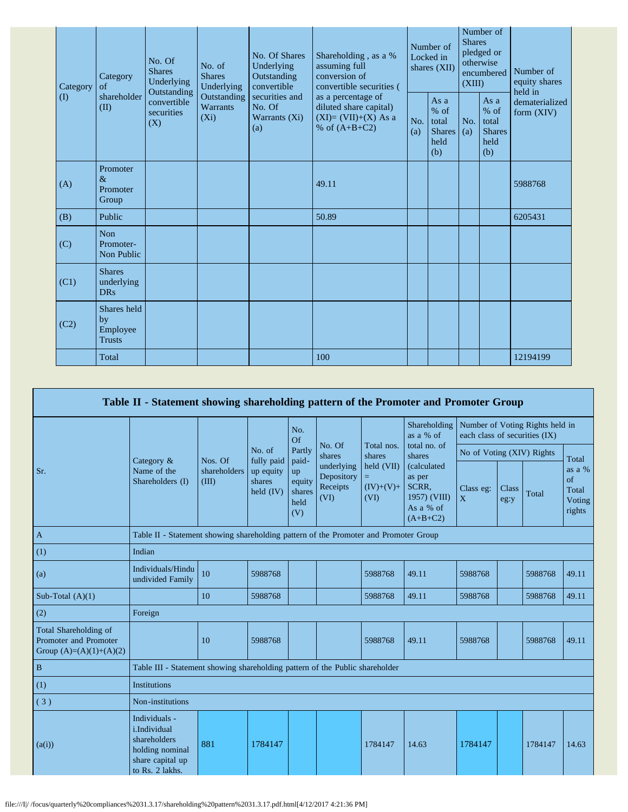| Category | Category<br>of                                 | No. Of<br><b>Shares</b><br>Underlying           | No. of<br><b>Shares</b><br>Underlying     | No. Of Shares<br>Underlying<br>Outstanding<br>convertible | Shareholding, as a %<br>assuming full<br>conversion of<br>convertible securities (<br>as a percentage of<br>diluted share capital)<br>$(XI)=(VII)+(X) As a$<br>% of $(A+B+C2)$ | Number of<br>Locked in<br>shares (XII) |                                                         | Number of<br><b>Shares</b><br>pledged or<br>otherwise<br>encumbered<br>(XIII) |                                                       | Number of<br>equity shares<br>held in |
|----------|------------------------------------------------|-------------------------------------------------|-------------------------------------------|-----------------------------------------------------------|--------------------------------------------------------------------------------------------------------------------------------------------------------------------------------|----------------------------------------|---------------------------------------------------------|-------------------------------------------------------------------------------|-------------------------------------------------------|---------------------------------------|
| $\rm(D)$ | shareholder<br>(II)                            | Outstanding<br>convertible<br>securities<br>(X) | Outstanding<br><b>Warrants</b><br>$(X_i)$ | securities and<br>No. Of<br>Warrants (Xi)<br>(a)          |                                                                                                                                                                                | No.<br>(a)                             | As a<br>$%$ of<br>total<br><b>Shares</b><br>held<br>(b) | No.<br>(a)                                                                    | As a<br>% of<br>total<br><b>Shares</b><br>held<br>(b) | dematerialized<br>form $(XIV)$        |
| (A)      | Promoter<br>$\&$<br>Promoter<br>Group          |                                                 |                                           |                                                           | 49.11                                                                                                                                                                          |                                        |                                                         |                                                                               |                                                       | 5988768                               |
| (B)      | Public                                         |                                                 |                                           |                                                           | 50.89                                                                                                                                                                          |                                        |                                                         |                                                                               |                                                       | 6205431                               |
| (C)      | <b>Non</b><br>Promoter-<br>Non Public          |                                                 |                                           |                                                           |                                                                                                                                                                                |                                        |                                                         |                                                                               |                                                       |                                       |
| (C1)     | <b>Shares</b><br>underlying<br><b>DRs</b>      |                                                 |                                           |                                                           |                                                                                                                                                                                |                                        |                                                         |                                                                               |                                                       |                                       |
| (C2)     | Shares held<br>by<br>Employee<br><b>Trusts</b> |                                                 |                                           |                                                           |                                                                                                                                                                                |                                        |                                                         |                                                                               |                                                       |                                       |
|          | Total                                          |                                                 |                                           |                                                           | 100                                                                                                                                                                            |                                        |                                                         |                                                                               |                                                       | 12194199                              |

|                                                                             | Table II - Statement showing shareholding pattern of the Promoter and Promoter Group                    |                                                                                      |                                                  |                                                |                                              |                                                                 |                                                                                                                                  |                                                                  |                      |         |                                           |
|-----------------------------------------------------------------------------|---------------------------------------------------------------------------------------------------------|--------------------------------------------------------------------------------------|--------------------------------------------------|------------------------------------------------|----------------------------------------------|-----------------------------------------------------------------|----------------------------------------------------------------------------------------------------------------------------------|------------------------------------------------------------------|----------------------|---------|-------------------------------------------|
|                                                                             |                                                                                                         | Nos. Of<br>shareholders<br>(III)                                                     |                                                  | No.<br>Of                                      |                                              |                                                                 | Shareholding<br>as a % of<br>total no. of<br>shares<br>(calculated<br>as per<br>SCRR,<br>1957) (VIII)<br>As a % of<br>$(A+B+C2)$ | Number of Voting Rights held in<br>each class of securities (IX) |                      |         |                                           |
|                                                                             | Category $\&$<br>Name of the<br>Shareholders (I)                                                        |                                                                                      | No. of                                           | Partly                                         | No. Of<br>shares                             | Total nos.<br>shares<br>held (VII)<br>Ξ.<br>$(IV)+(V)+$<br>(VI) |                                                                                                                                  | No of Voting (XIV) Rights                                        |                      |         | Total                                     |
| Sr.                                                                         |                                                                                                         |                                                                                      | fully paid<br>up equity<br>shares<br>held $(IV)$ | paid-<br>up<br>equity<br>shares<br>held<br>(V) | underlying<br>Depository<br>Receipts<br>(VI) |                                                                 |                                                                                                                                  | Class eg:<br>X                                                   | <b>Class</b><br>eg:y | Total   | as a %<br>of<br>Total<br>Voting<br>rights |
| $\mathbf{A}$                                                                |                                                                                                         | Table II - Statement showing shareholding pattern of the Promoter and Promoter Group |                                                  |                                                |                                              |                                                                 |                                                                                                                                  |                                                                  |                      |         |                                           |
| (1)                                                                         | Indian                                                                                                  |                                                                                      |                                                  |                                                |                                              |                                                                 |                                                                                                                                  |                                                                  |                      |         |                                           |
| (a)                                                                         | Individuals/Hindu<br>undivided Family                                                                   | 10                                                                                   | 5988768                                          |                                                |                                              | 5988768                                                         | 49.11                                                                                                                            | 5988768                                                          |                      | 5988768 | 49.11                                     |
| Sub-Total $(A)(1)$                                                          |                                                                                                         | 10                                                                                   | 5988768                                          |                                                |                                              | 5988768                                                         | 49.11                                                                                                                            | 5988768                                                          |                      | 5988768 | 49.11                                     |
| (2)                                                                         | Foreign                                                                                                 |                                                                                      |                                                  |                                                |                                              |                                                                 |                                                                                                                                  |                                                                  |                      |         |                                           |
| Total Shareholding of<br>Promoter and Promoter<br>Group $(A)=(A)(1)+(A)(2)$ |                                                                                                         | 10                                                                                   | 5988768                                          |                                                |                                              | 5988768                                                         | 49.11                                                                                                                            | 5988768                                                          |                      | 5988768 | 49.11                                     |
| $\, {\bf B}$                                                                | Table III - Statement showing shareholding pattern of the Public shareholder                            |                                                                                      |                                                  |                                                |                                              |                                                                 |                                                                                                                                  |                                                                  |                      |         |                                           |
| (1)                                                                         | <b>Institutions</b>                                                                                     |                                                                                      |                                                  |                                                |                                              |                                                                 |                                                                                                                                  |                                                                  |                      |         |                                           |
| (3)                                                                         | Non-institutions                                                                                        |                                                                                      |                                                  |                                                |                                              |                                                                 |                                                                                                                                  |                                                                  |                      |         |                                           |
| (a(i))                                                                      | Individuals -<br>i.Individual<br>shareholders<br>holding nominal<br>share capital up<br>to Rs. 2 lakhs. | 881                                                                                  | 1784147                                          |                                                |                                              | 1784147                                                         | 14.63                                                                                                                            | 1784147                                                          |                      | 1784147 | 14.63                                     |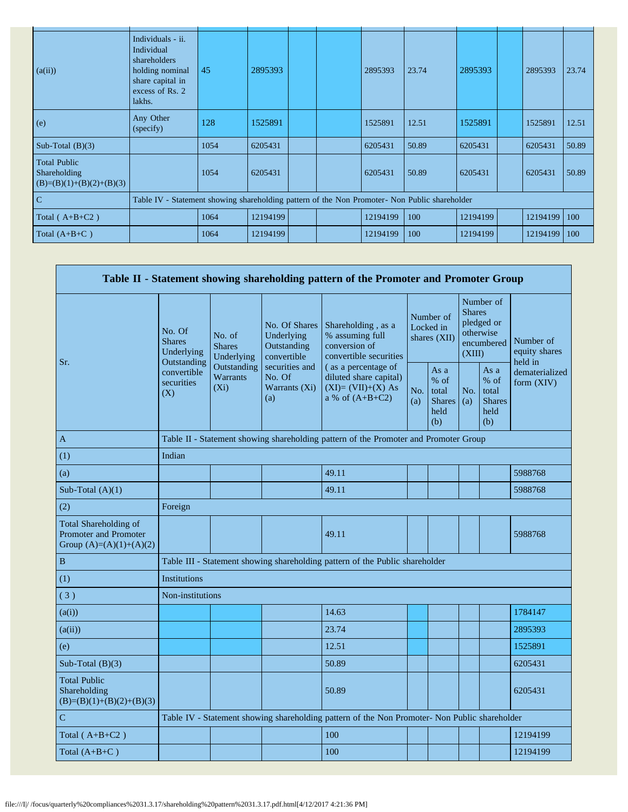| (a(ii))                                                           | Individuals - ii.<br>Individual<br>shareholders<br>holding nominal<br>share capital in<br>excess of Rs. 2<br>lakhs. | 45   | 2895393  |  | 2895393  | 23.74 | 2895393  | 2895393  | 23.74 |
|-------------------------------------------------------------------|---------------------------------------------------------------------------------------------------------------------|------|----------|--|----------|-------|----------|----------|-------|
| (e)                                                               | Any Other<br>(specify)                                                                                              | 128  | 1525891  |  | 1525891  | 12.51 | 1525891  | 1525891  | 12.51 |
| Sub-Total $(B)(3)$                                                |                                                                                                                     | 1054 | 6205431  |  | 6205431  | 50.89 | 6205431  | 6205431  | 50.89 |
| <b>Total Public</b><br>Shareholding<br>$(B)=(B)(1)+(B)(2)+(B)(3)$ |                                                                                                                     | 1054 | 6205431  |  | 6205431  | 50.89 | 6205431  | 6205431  | 50.89 |
| $\mathbf C$                                                       | Table IV - Statement showing shareholding pattern of the Non Promoter- Non Public shareholder                       |      |          |  |          |       |          |          |       |
| Total $(A+B+C2)$                                                  |                                                                                                                     | 1064 | 12194199 |  | 12194199 | 100   | 12194199 | 12194199 | 100   |
| Total $(A+B+C)$                                                   |                                                                                                                     | 1064 | 12194199 |  | 12194199 | 100   | 12194199 | 12194199 | 100   |

 $\ddot{\phantom{a}}$ 

|                                                                             |                                                      |                                                                                               |                                                           | Table II - Statement showing shareholding pattern of the Promoter and Promoter Group      |                                        |                                                       |                         |                                                       |                                       |  |
|-----------------------------------------------------------------------------|------------------------------------------------------|-----------------------------------------------------------------------------------------------|-----------------------------------------------------------|-------------------------------------------------------------------------------------------|----------------------------------------|-------------------------------------------------------|-------------------------|-------------------------------------------------------|---------------------------------------|--|
| Sr.                                                                         | No. Of<br><b>Shares</b><br>Underlying<br>Outstanding | No. of<br><b>Shares</b><br>Underlying                                                         | No. Of Shares<br>Underlying<br>Outstanding<br>convertible | Shareholding, as a<br>% assuming full<br>conversion of<br>convertible securities          | Number of<br>Locked in<br>shares (XII) |                                                       | <b>Shares</b><br>(XIII) | Number of<br>pledged or<br>otherwise<br>encumbered    | Number of<br>equity shares<br>held in |  |
|                                                                             | convertible<br>securities<br>(X)                     | Outstanding<br><b>Warrants</b><br>$(X_i)$                                                     | securities and<br>No. Of<br>Warrants (Xi)<br>(a)          | (as a percentage of<br>diluted share capital)<br>$(XI)=(VII)+(X)$ As<br>a % of $(A+B+C2)$ | No.<br>(a)                             | As a<br>% of<br>total<br><b>Shares</b><br>held<br>(b) | No.<br>(a)              | As a<br>% of<br>total<br><b>Shares</b><br>held<br>(b) | dematerialized<br>form $(XIV)$        |  |
| A                                                                           |                                                      | Table II - Statement showing shareholding pattern of the Promoter and Promoter Group          |                                                           |                                                                                           |                                        |                                                       |                         |                                                       |                                       |  |
| (1)                                                                         | Indian                                               |                                                                                               |                                                           |                                                                                           |                                        |                                                       |                         |                                                       |                                       |  |
| (a)                                                                         |                                                      |                                                                                               |                                                           | 49.11                                                                                     |                                        |                                                       |                         |                                                       | 5988768                               |  |
| Sub-Total $(A)(1)$                                                          |                                                      |                                                                                               |                                                           | 49.11                                                                                     |                                        |                                                       |                         |                                                       | 5988768                               |  |
| (2)                                                                         | Foreign                                              |                                                                                               |                                                           |                                                                                           |                                        |                                                       |                         |                                                       |                                       |  |
| Total Shareholding of<br>Promoter and Promoter<br>Group $(A)=(A)(1)+(A)(2)$ |                                                      |                                                                                               |                                                           | 49.11                                                                                     |                                        |                                                       |                         |                                                       | 5988768                               |  |
| $\, {\bf B}$                                                                |                                                      |                                                                                               |                                                           | Table III - Statement showing shareholding pattern of the Public shareholder              |                                        |                                                       |                         |                                                       |                                       |  |
| (1)                                                                         | <b>Institutions</b>                                  |                                                                                               |                                                           |                                                                                           |                                        |                                                       |                         |                                                       |                                       |  |
| (3)                                                                         | Non-institutions                                     |                                                                                               |                                                           |                                                                                           |                                        |                                                       |                         |                                                       |                                       |  |
| (a(i))                                                                      |                                                      |                                                                                               |                                                           | 14.63                                                                                     |                                        |                                                       |                         |                                                       | 1784147                               |  |
| (a(ii))                                                                     |                                                      |                                                                                               |                                                           | 23.74                                                                                     |                                        |                                                       |                         |                                                       | 2895393                               |  |
| (e)                                                                         |                                                      |                                                                                               |                                                           | 12.51                                                                                     |                                        |                                                       |                         |                                                       | 1525891                               |  |
| Sub-Total $(B)(3)$                                                          |                                                      |                                                                                               |                                                           | 50.89                                                                                     |                                        |                                                       |                         |                                                       | 6205431                               |  |
| <b>Total Public</b><br>Shareholding<br>$(B)=(B)(1)+(B)(2)+(B)(3)$           |                                                      |                                                                                               |                                                           | 50.89                                                                                     |                                        |                                                       |                         |                                                       | 6205431                               |  |
| $\mathbf C$                                                                 |                                                      | Table IV - Statement showing shareholding pattern of the Non Promoter- Non Public shareholder |                                                           |                                                                                           |                                        |                                                       |                         |                                                       |                                       |  |
| Total $(A+B+C2)$                                                            |                                                      |                                                                                               |                                                           | 100                                                                                       |                                        |                                                       |                         |                                                       | 12194199                              |  |
| Total $(A+B+C)$                                                             |                                                      |                                                                                               |                                                           | 100                                                                                       |                                        |                                                       |                         |                                                       | 12194199                              |  |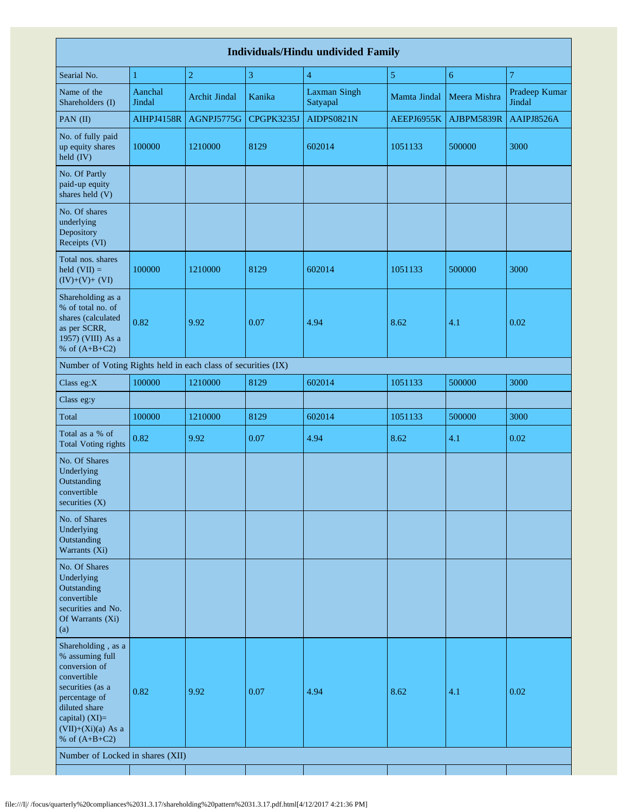|                                                                                                                                                                                          |                   |                      |            | <b>Individuals/Hindu undivided Family</b> |                |                |                         |
|------------------------------------------------------------------------------------------------------------------------------------------------------------------------------------------|-------------------|----------------------|------------|-------------------------------------------|----------------|----------------|-------------------------|
| Searial No.                                                                                                                                                                              | $\mathbf{1}$      | $\overline{2}$       | 3          | $\overline{4}$                            | $\overline{5}$ | $\overline{6}$ | $\overline{7}$          |
| Name of the<br>Shareholders (I)                                                                                                                                                          | Aanchal<br>Jindal | <b>Archit Jindal</b> | Kanika     | <b>Laxman Singh</b><br>Satyapal           | Mamta Jindal   | Meera Mishra   | Pradeep Kumar<br>Jindal |
| PAN (II)                                                                                                                                                                                 | <b>AIHPJ4158R</b> | AGNPJ5775G           | CPGPK3235J | AIDPS0821N                                | AEEPJ6955K     | AJBPM5839R     | AAIPJ8526A              |
| No. of fully paid<br>up equity shares<br>$\text{held (IV)}$                                                                                                                              | 100000            | 1210000              | 8129       | 602014                                    | 1051133        | 500000         | 3000                    |
| No. Of Partly<br>paid-up equity<br>shares held (V)                                                                                                                                       |                   |                      |            |                                           |                |                |                         |
| No. Of shares<br>underlying<br>Depository<br>Receipts (VI)                                                                                                                               |                   |                      |            |                                           |                |                |                         |
| Total nos. shares<br>held $(VII) =$<br>$(IV)+(V)+(VI)$                                                                                                                                   | 100000            | 1210000              | 8129       | 602014                                    | 1051133        | 500000         | 3000                    |
| Shareholding as a<br>% of total no. of<br>shares (calculated<br>as per SCRR,<br>1957) (VIII) As a<br>% of $(A+B+C2)$                                                                     | 0.82              | 9.92                 | 0.07       | 4.94                                      | 8.62           | 4.1            | 0.02                    |
| Number of Voting Rights held in each class of securities (IX)                                                                                                                            |                   |                      |            |                                           |                |                |                         |
| Class eg:X                                                                                                                                                                               | 100000            | 1210000              | 8129       | 602014                                    | 1051133        | 500000         | 3000                    |
| Class eg:y                                                                                                                                                                               |                   |                      |            |                                           |                |                |                         |
| Total                                                                                                                                                                                    | 100000            | 1210000              | 8129       | 602014                                    | 1051133        | 500000         | 3000                    |
| Total as a % of<br><b>Total Voting rights</b>                                                                                                                                            | 0.82              | 9.92                 | 0.07       | 4.94                                      | 8.62           | 4.1            | 0.02                    |
| No. Of Shares<br>Underlying<br>Outstanding<br>convertible<br>securities (X)                                                                                                              |                   |                      |            |                                           |                |                |                         |
| No. of Shares<br>Underlying<br>Outstanding<br>Warrants (Xi)                                                                                                                              |                   |                      |            |                                           |                |                |                         |
| No. Of Shares<br>Underlying<br>Outstanding<br>convertible<br>securities and No.<br>Of Warrants (Xi)<br>(a)                                                                               |                   |                      |            |                                           |                |                |                         |
| Shareholding, as a<br>% assuming full<br>conversion of<br>convertible<br>securities (as a<br>percentage of<br>diluted share<br>capital) (XI)=<br>$(VII)+(Xi)(a)$ As a<br>% of $(A+B+C2)$ | 0.82              | 9.92                 | 0.07       | 4.94                                      | 8.62           | 4.1            | 0.02                    |
| Number of Locked in shares (XII)                                                                                                                                                         |                   |                      |            |                                           |                |                |                         |
|                                                                                                                                                                                          |                   |                      |            |                                           |                |                |                         |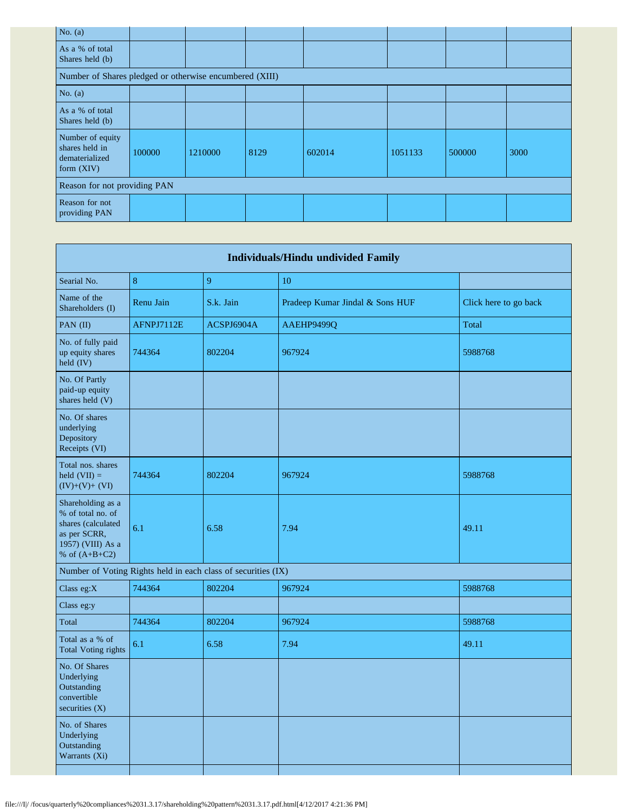| No. $(a)$                                                            |        |         |      |        |         |        |      |  |  |  |
|----------------------------------------------------------------------|--------|---------|------|--------|---------|--------|------|--|--|--|
| As a % of total<br>Shares held (b)                                   |        |         |      |        |         |        |      |  |  |  |
| Number of Shares pledged or otherwise encumbered (XIII)              |        |         |      |        |         |        |      |  |  |  |
| No. $(a)$                                                            |        |         |      |        |         |        |      |  |  |  |
| As a % of total<br>Shares held (b)                                   |        |         |      |        |         |        |      |  |  |  |
| Number of equity<br>shares held in<br>dematerialized<br>form $(XIV)$ | 100000 | 1210000 | 8129 | 602014 | 1051133 | 500000 | 3000 |  |  |  |
| Reason for not providing PAN                                         |        |         |      |        |         |        |      |  |  |  |
| Reason for not<br>providing PAN                                      |        |         |      |        |         |        |      |  |  |  |

|                                                                                                                      |            |                                                               | <b>Individuals/Hindu undivided Family</b> |                       |
|----------------------------------------------------------------------------------------------------------------------|------------|---------------------------------------------------------------|-------------------------------------------|-----------------------|
| Searial No.                                                                                                          | 8          | 9                                                             | 10                                        |                       |
| Name of the<br>Shareholders (I)                                                                                      | Renu Jain  | S.k. Jain                                                     | Pradeep Kumar Jindal & Sons HUF           | Click here to go back |
| PAN (II)                                                                                                             | AFNPJ7112E | ACSPJ6904A                                                    | AAEHP9499Q                                | Total                 |
| No. of fully paid<br>up equity shares<br>held (IV)                                                                   | 744364     | 802204                                                        | 967924                                    | 5988768               |
| No. Of Partly<br>paid-up equity<br>shares held (V)                                                                   |            |                                                               |                                           |                       |
| No. Of shares<br>underlying<br>Depository<br>Receipts (VI)                                                           |            |                                                               |                                           |                       |
| Total nos. shares<br>held $(VII)$ =<br>$(IV)+(V)+(VI)$                                                               | 744364     | 802204                                                        | 967924                                    | 5988768               |
| Shareholding as a<br>% of total no. of<br>shares (calculated<br>as per SCRR,<br>1957) (VIII) As a<br>% of $(A+B+C2)$ | 6.1        | 6.58                                                          | 7.94                                      | 49.11                 |
|                                                                                                                      |            | Number of Voting Rights held in each class of securities (IX) |                                           |                       |
| Class eg: $X$                                                                                                        | 744364     | 802204                                                        | 967924                                    | 5988768               |
| Class eg:y                                                                                                           |            |                                                               |                                           |                       |
| Total                                                                                                                | 744364     | 802204                                                        | 967924                                    | 5988768               |
| Total as a % of<br><b>Total Voting rights</b>                                                                        | 6.1        | 6.58                                                          | 7.94                                      | 49.11                 |
| No. Of Shares<br>Underlying<br>Outstanding<br>convertible<br>securities (X)                                          |            |                                                               |                                           |                       |
| No. of Shares<br>Underlying<br>Outstanding<br>Warrants (Xi)                                                          |            |                                                               |                                           |                       |
|                                                                                                                      |            |                                                               |                                           |                       |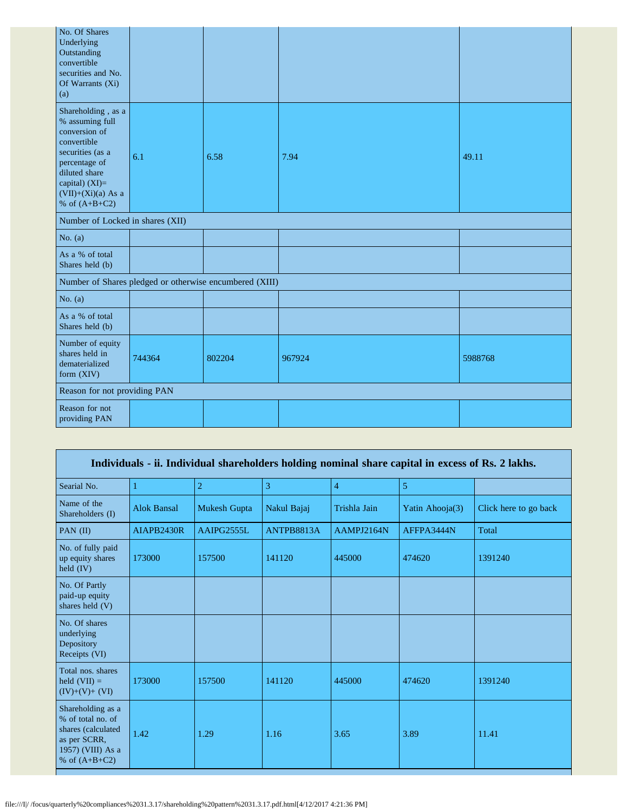| No. Of Shares<br>Underlying<br>Outstanding<br>convertible<br>securities and No.<br>Of Warrants (Xi)<br>(a)                                                                               |        |                                                         |        |         |
|------------------------------------------------------------------------------------------------------------------------------------------------------------------------------------------|--------|---------------------------------------------------------|--------|---------|
| Shareholding, as a<br>% assuming full<br>conversion of<br>convertible<br>securities (as a<br>percentage of<br>diluted share<br>capital) (XI)=<br>$(VII)+(Xi)(a)$ As a<br>% of $(A+B+C2)$ | 6.1    | 6.58                                                    | 7.94   | 49.11   |
| Number of Locked in shares (XII)                                                                                                                                                         |        |                                                         |        |         |
| No. $(a)$                                                                                                                                                                                |        |                                                         |        |         |
| As a % of total<br>Shares held (b)                                                                                                                                                       |        |                                                         |        |         |
|                                                                                                                                                                                          |        | Number of Shares pledged or otherwise encumbered (XIII) |        |         |
| No. $(a)$                                                                                                                                                                                |        |                                                         |        |         |
| As a % of total<br>Shares held (b)                                                                                                                                                       |        |                                                         |        |         |
| Number of equity<br>shares held in<br>dematerialized<br>form (XIV)                                                                                                                       | 744364 | 802204                                                  | 967924 | 5988768 |
| Reason for not providing PAN                                                                                                                                                             |        |                                                         |        |         |
| Reason for not<br>providing PAN                                                                                                                                                          |        |                                                         |        |         |

|                                                                                                                      |                    |                     |                |                | Individuals - ii. Individual shareholders holding nominal share capital in excess of Rs. 2 lakhs. |                       |
|----------------------------------------------------------------------------------------------------------------------|--------------------|---------------------|----------------|----------------|---------------------------------------------------------------------------------------------------|-----------------------|
| Searial No.                                                                                                          |                    | $\overline{2}$      | $\overline{3}$ | $\overline{4}$ | 5                                                                                                 |                       |
| Name of the<br>Shareholders (I)                                                                                      | <b>Alok Bansal</b> | <b>Mukesh Gupta</b> | Nakul Bajaj    | Trishla Jain   | Yatin Ahooja(3)                                                                                   | Click here to go back |
| PAN $(II)$                                                                                                           | AIAPB2430R         | AAIPG2555L          | ANTPB8813A     | AAMPJ2164N     | AFFPA3444N                                                                                        | Total                 |
| No. of fully paid<br>up equity shares<br>held $(IV)$                                                                 | 173000             | 157500              | 141120         | 445000         | 474620                                                                                            | 1391240               |
| No. Of Partly<br>paid-up equity<br>shares held (V)                                                                   |                    |                     |                |                |                                                                                                   |                       |
| No. Of shares<br>underlying<br>Depository<br>Receipts (VI)                                                           |                    |                     |                |                |                                                                                                   |                       |
| Total nos. shares<br>held $(VII) =$<br>$(IV)+(V)+(VI)$                                                               | 173000             | 157500              | 141120         | 445000         | 474620                                                                                            | 1391240               |
| Shareholding as a<br>% of total no. of<br>shares (calculated<br>as per SCRR,<br>1957) (VIII) As a<br>% of $(A+B+C2)$ | 1.42               | 1.29                | 1.16           | 3.65           | 3.89                                                                                              | 11.41                 |

Г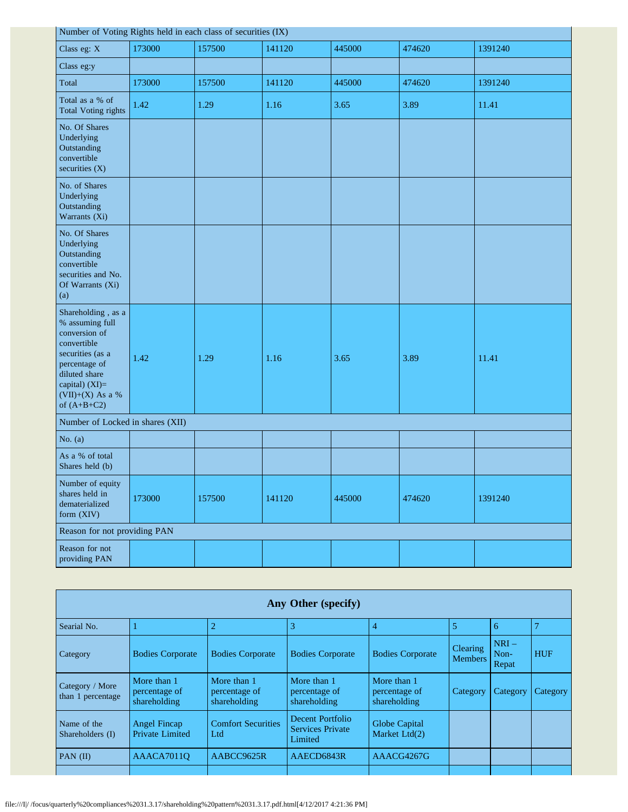| Number of Voting Rights held in each class of securities (IX)                                                                                                                        |        |        |        |        |        |         |
|--------------------------------------------------------------------------------------------------------------------------------------------------------------------------------------|--------|--------|--------|--------|--------|---------|
| Class eg: X                                                                                                                                                                          | 173000 | 157500 | 141120 | 445000 | 474620 | 1391240 |
| Class eg:y                                                                                                                                                                           |        |        |        |        |        |         |
| Total                                                                                                                                                                                | 173000 | 157500 | 141120 | 445000 | 474620 | 1391240 |
| Total as a % of<br><b>Total Voting rights</b>                                                                                                                                        | 1.42   | 1.29   | 1.16   | 3.65   | 3.89   | 11.41   |
| No. Of Shares<br>Underlying<br>Outstanding<br>convertible<br>securities $(X)$                                                                                                        |        |        |        |        |        |         |
| No. of Shares<br>Underlying<br>Outstanding<br>Warrants (Xi)                                                                                                                          |        |        |        |        |        |         |
| No. Of Shares<br>Underlying<br>Outstanding<br>convertible<br>securities and No.<br>Of Warrants (Xi)<br>(a)                                                                           |        |        |        |        |        |         |
| Shareholding, as a<br>% assuming full<br>conversion of<br>convertible<br>securities (as a<br>percentage of<br>diluted share<br>capital) (XI)=<br>$(VII)+(X)$ As a %<br>of $(A+B+C2)$ | 1.42   | 1.29   | 1.16   | 3.65   | 3.89   | 11.41   |
| Number of Locked in shares (XII)                                                                                                                                                     |        |        |        |        |        |         |
| No. $(a)$                                                                                                                                                                            |        |        |        |        |        |         |
| As a % of total<br>Shares held (b)                                                                                                                                                   |        |        |        |        |        |         |
| Number of equity<br>shares held in<br>dematerialized<br>form (XIV)                                                                                                                   | 173000 | 157500 | 141120 | 445000 | 474620 | 1391240 |
| Reason for not providing PAN                                                                                                                                                         |        |        |        |        |        |         |
| Reason for not<br>providing PAN                                                                                                                                                      |        |        |        |        |        |         |

| Any Other (specify)                  |                                               |                                              |                                                               |                                              |                                   |                         |                |
|--------------------------------------|-----------------------------------------------|----------------------------------------------|---------------------------------------------------------------|----------------------------------------------|-----------------------------------|-------------------------|----------------|
| Searial No.                          |                                               |                                              | 3                                                             | 4                                            | 5                                 | 6                       | $\overline{7}$ |
| Category                             | <b>Bodies Corporate</b>                       | <b>Bodies Corporate</b>                      | <b>Bodies Corporate</b>                                       | <b>Bodies Corporate</b>                      | <b>Clearing</b><br><b>Members</b> | $NRI-$<br>Non-<br>Repat | <b>HUF</b>     |
| Category / More<br>than 1 percentage | More than 1<br>percentage of<br>shareholding  | More than 1<br>percentage of<br>shareholding | More than 1<br>percentage of<br>shareholding                  | More than 1<br>percentage of<br>shareholding | Category                          | Category                | Category       |
| Name of the<br>Shareholders (I)      | <b>Angel Fincap</b><br><b>Private Limited</b> | <b>Comfort Securities</b><br>Ltd             | <b>Decent Portfolio</b><br><b>Services Private</b><br>Limited | Globe Capital<br>Market Ltd(2)               |                                   |                         |                |
| PAN $(II)$                           | AAACA7011O                                    | AABCC9625R                                   | AAECD6843R                                                    | AAACG4267G                                   |                                   |                         |                |
|                                      |                                               |                                              |                                                               |                                              |                                   |                         |                |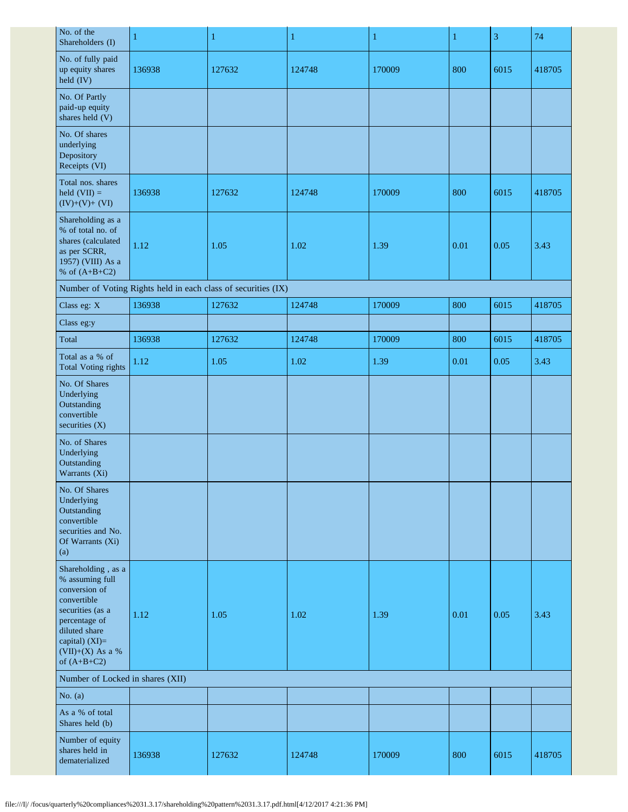| No. of the<br>Shareholders (I)                                                                                                                                                     | 1      | $\mathbf{1}$                                                  | $\mathbf{1}$ | $\mathbf{1}$ | $\mathbf{1}$ | 3    | 74     |
|------------------------------------------------------------------------------------------------------------------------------------------------------------------------------------|--------|---------------------------------------------------------------|--------------|--------------|--------------|------|--------|
| No. of fully paid<br>up equity shares<br>held (IV)                                                                                                                                 | 136938 | 127632                                                        | 124748       | 170009       | 800          | 6015 | 418705 |
| No. Of Partly<br>paid-up equity<br>shares held (V)                                                                                                                                 |        |                                                               |              |              |              |      |        |
| No. Of shares<br>underlying<br>Depository<br>Receipts (VI)                                                                                                                         |        |                                                               |              |              |              |      |        |
| Total nos. shares<br>held $(VII) =$<br>$(IV)+(V)+(VI)$                                                                                                                             | 136938 | 127632                                                        | 124748       | 170009       | 800          | 6015 | 418705 |
| Shareholding as a<br>% of total no. of<br>shares (calculated<br>as per SCRR,<br>1957) (VIII) As a<br>% of $(A+B+C2)$                                                               | 1.12   | 1.05                                                          | 1.02         | 1.39         | 0.01         | 0.05 | 3.43   |
|                                                                                                                                                                                    |        | Number of Voting Rights held in each class of securities (IX) |              |              |              |      |        |
| Class eg: X                                                                                                                                                                        | 136938 | 127632                                                        | 124748       | 170009       | 800          | 6015 | 418705 |
| Class eg:y                                                                                                                                                                         |        |                                                               |              |              |              |      |        |
| Total                                                                                                                                                                              | 136938 | 127632                                                        | 124748       | 170009       | 800          | 6015 | 418705 |
| Total as a % of<br>Total Voting rights                                                                                                                                             | 1.12   | 1.05                                                          | 1.02         | 1.39         | 0.01         | 0.05 | 3.43   |
| No. Of Shares<br>Underlying<br>Outstanding<br>convertible<br>securities (X)                                                                                                        |        |                                                               |              |              |              |      |        |
| No. of Shares<br>Underlying<br>Outstanding<br>Warrants (Xi)                                                                                                                        |        |                                                               |              |              |              |      |        |
| No. Of Shares<br>Underlying<br>Outstanding<br>convertible<br>securities and No.<br>Of Warrants (Xi)<br>(a)                                                                         |        |                                                               |              |              |              |      |        |
| Shareholding, as a<br>% assuming full<br>conversion of<br>convertible<br>securities (as a<br>percentage of<br>diluted share<br>capital) (XI)=<br>(VII)+(X) As a %<br>of $(A+B+C2)$ | 1.12   | 1.05                                                          | 1.02         | 1.39         | 0.01         | 0.05 | 3.43   |
| Number of Locked in shares (XII)                                                                                                                                                   |        |                                                               |              |              |              |      |        |
| No. $(a)$                                                                                                                                                                          |        |                                                               |              |              |              |      |        |
| As a % of total<br>Shares held (b)                                                                                                                                                 |        |                                                               |              |              |              |      |        |
| Number of equity<br>shares held in<br>dematerialized                                                                                                                               | 136938 | 127632                                                        | 124748       | 170009       | 800          | 6015 | 418705 |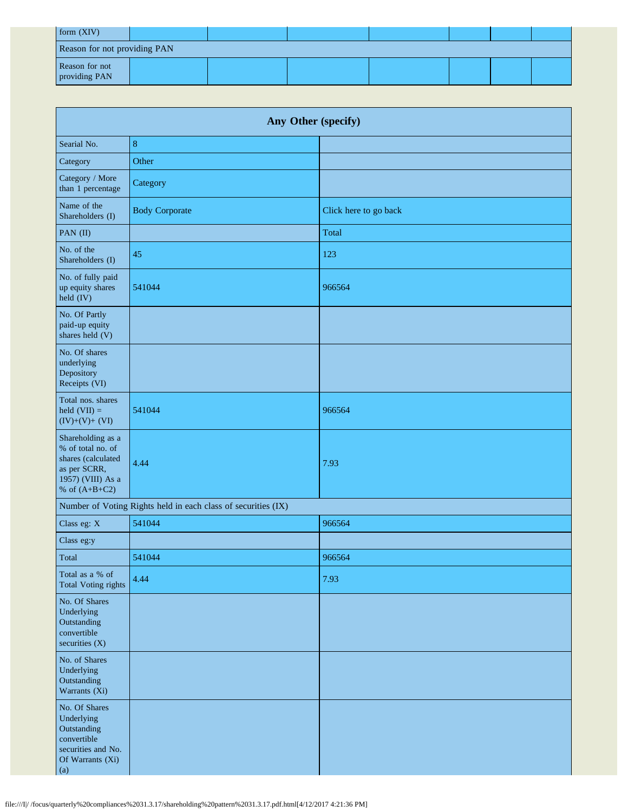| form (XIV)                      |  |  |  |  |  |  |
|---------------------------------|--|--|--|--|--|--|
| Reason for not providing PAN    |  |  |  |  |  |  |
| Reason for not<br>providing PAN |  |  |  |  |  |  |

| Any Other (specify)                                                                                                  |                                                               |                       |  |  |  |
|----------------------------------------------------------------------------------------------------------------------|---------------------------------------------------------------|-----------------------|--|--|--|
| Searial No.                                                                                                          | 8                                                             |                       |  |  |  |
| Category                                                                                                             | Other                                                         |                       |  |  |  |
| Category / More<br>than 1 percentage                                                                                 | Category                                                      |                       |  |  |  |
| Name of the<br>Shareholders (I)                                                                                      | <b>Body Corporate</b>                                         | Click here to go back |  |  |  |
| PAN (II)                                                                                                             |                                                               | Total                 |  |  |  |
| No. of the<br>Shareholders (I)                                                                                       | 45                                                            | 123                   |  |  |  |
| No. of fully paid<br>up equity shares<br>held (IV)                                                                   | 541044                                                        | 966564                |  |  |  |
| No. Of Partly<br>paid-up equity<br>shares held (V)                                                                   |                                                               |                       |  |  |  |
| No. Of shares<br>underlying<br>Depository<br>Receipts (VI)                                                           |                                                               |                       |  |  |  |
| Total nos. shares<br>held $(VII) =$<br>$(IV)+(V)+(VI)$                                                               | 541044                                                        | 966564                |  |  |  |
| Shareholding as a<br>% of total no. of<br>shares (calculated<br>as per SCRR,<br>1957) (VIII) As a<br>% of $(A+B+C2)$ | 4.44                                                          | 7.93                  |  |  |  |
|                                                                                                                      | Number of Voting Rights held in each class of securities (IX) |                       |  |  |  |
| Class eg: X                                                                                                          | 541044                                                        | 966564                |  |  |  |
| Class eg:y                                                                                                           |                                                               |                       |  |  |  |
| Total                                                                                                                | 541044                                                        | 966564                |  |  |  |
| Total as a % of<br><b>Total Voting rights</b>                                                                        | 4.44                                                          | 7.93                  |  |  |  |
| No. Of Shares<br>Underlying<br>Outstanding<br>convertible<br>securities $(X)$                                        |                                                               |                       |  |  |  |
| No. of Shares<br>Underlying<br>Outstanding<br>Warrants (Xi)                                                          |                                                               |                       |  |  |  |
| No. Of Shares<br>Underlying<br>Outstanding<br>convertible<br>securities and No.<br>Of Warrants (Xi)<br>(a)           |                                                               |                       |  |  |  |